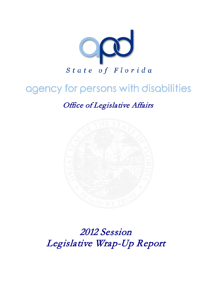

# agency for persons with disabilities

Office of Legislative Affairs



2012 Session Legislative Wrap-Up Report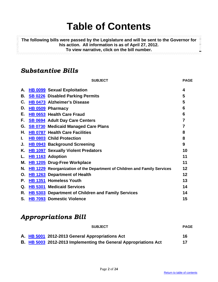# **Table of Contents**

**The following bills were passed by the Legislature and will be sent to the Governor for his action. All information is as of April 27, 2012.** 虂 **To view narrative, click on the bill number.**

# <span id="page-1-0"></span>*Substantive Bills*

|    | <b>SUBJECT</b>                                                           | <b>PAGE</b> |
|----|--------------------------------------------------------------------------|-------------|
| А. | <b>HB 0099 Sexual Exploitation</b>                                       | 4           |
| В. | <b>SB 0226</b> Disabled Parking Permits                                  | 5           |
| C. | <b>HB 0473 Alzheimer's Disease</b>                                       | 5           |
| D. | HB 0509 Pharmacy                                                         | 6           |
| Е. | HB 0653 Health Care Fraud                                                | 6           |
| F. | <b>SB 0694</b> Adult Day Care Centers                                    | 7           |
| G. | <b>SB 0730 Medicaid Managed Care Plans</b>                               | 7           |
| Η. | <b>HB 0787 Health Care Facilities</b>                                    | 8           |
| L. | HB 0803 Child Protection                                                 | 8           |
| J. | <b>HB 0943</b> Background Screening                                      | 9           |
| Κ. | <b>HB 1097</b> Sexually Violent Predators                                | 10          |
| L. | <b>HB 1163</b> Adoption                                                  | 11          |
| Μ. | <b>HB 1205</b> Drug-Free Workplace                                       | 11          |
| N. | HB 1229 Reorganization of the Department of Children and Family Services | 12          |
| О. | <b>HB 1263</b> Department of Health                                      | 12          |
| Р. | HB 1351 Homeless Youth                                                   | 13          |
| Q. | <b>HB 5301 Medicaid Services</b>                                         | 14          |
| R. | HB 5303 Department of Children and Family Services                       | 14          |
| S. | HB 7093 Domestic Violence                                                | 15          |

# *Appropriations Bill*

| <b>SUBJECT</b>                                                          | <b>PAGE</b> |
|-------------------------------------------------------------------------|-------------|
| A. HB 5001 2012-2013 General Appropriations Act                         | 16          |
| <b>B. HB 5003 2012-2013 Implementing the General Appropriations Act</b> | 17          |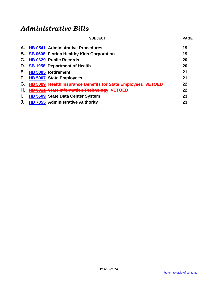# *Administrative Bills*

| <b>SUBJECT</b>                                               | <b>PAGE</b> |
|--------------------------------------------------------------|-------------|
| A. HB 0541 Administrative Procedures                         | 19          |
| <b>SB 0608 Florida Healthy Kids Corporation</b>              | 19          |
| <b>HB 0629 Public Records</b>                                | 20          |
| <b>SB 1958 Department of Health</b>                          | 20          |
| <b>HB 5005 Retirement</b>                                    | 21          |
| <b>HB 5007 State Employees</b>                               | 21          |
| HB 5009 Health Insurance Benefits for State Employees VETOED | 22          |
| <b>HB 5011 State Information Technology VETOED</b>           | 22          |
| <b>HB 5509 State Data Center System</b>                      | 23          |
| HB 7055 Administrative Authority                             | 23          |
|                                                              |             |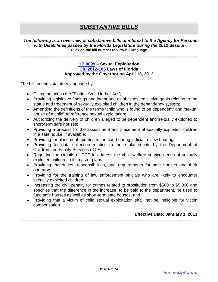# *SUBSTANTIVE BILLS*

#### *The following is an overview of substantive bills of interest to the Agency for Persons with Disabilities passed by the Florida Legislature during the 2012 Session.* **Click on the bill number to view bill language**

#### **[HB 0099](http://flhouse.gov/Sections/Documents/loaddoc.aspx?FileName=_h0099er.docx&DocumentType=Bill&BillNumber=0099&Session=2012) – Sexual Exploitation [Ch. 2012-105](http://laws.flrules.org/2012/105) Laws of Florida Approved by the Governor on April 13, 2012**

<span id="page-3-0"></span>The bill amends statutory language by:

- Citing the act as the "Florida Safe Harbor Act";
- Providing legislative findings and intent and establishes legislative goals relating to the status and treatment of sexually exploited children in the dependency system;
- Amending the definitions of the terms "child who is found to be dependent" and "sexual abuse of a child" to reference sexual exploitation;
- Authorizing the delivery of children alleged to be dependent and sexually exploited to short-term safe houses;
- Providing a process for the assessment and placement of sexually exploited children in a safe house, if available;
- Providing for placement updates to the court during judicial review hearings;
- Providing for data collection relating to these placements by the Department of Children and Family Services (DCF);
- Requiring the circuits of DCF to address the child welfare service needs of sexually exploited children in its master plans;
- Providing the duties, responsibilities, and requirements for safe houses and their operators;
- Providing for the training of law enforcement officials who are likely to encounter sexually exploited children;
- Increasing the civil penalty for crimes related to prostitution from \$500 to \$5,000 and specifies that the difference in the increase, to be paid to the department, be used to fund safe houses as well as short-term safe houses; and
- <span id="page-3-1"></span>• Providing that a victim of child sexual exploitation shall not be ineligible for victim compensation.

# **Effective Date: January 1, 2013**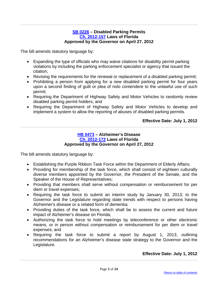#### **[SB 0226](http://flsenate.gov/Session/Bill/2012/0226/BillText/er/PDF) – Disabled Parking Permits [Ch. 2012-157](http://laws.flrules.org/2012/157) Laws of Florida Approved by the Governor on April 27, 2012**

The bill amends statutory language by:

- Expanding the type of officials who may waive citations for disability permit parking violations by including the parking enforcement specialist or agency that issued the citation;
- Revising the requirements for the renewal or replacement of a disabled parking permit;
- Prohibiting a person from applying for a new disabled parking permit for four years upon a second finding of guilt or plea of nolo contendere to the unlawful use of such permit;
- Requiring the Department of Highway Safety and Motor Vehicles to randomly review disabled parking permit holders; and
- Requiring the Department of Highway Safety and Motor Vehicles to develop and implement a system to allow the reporting of abuses of disabled parking permits.

## **Effective Date: July 1, 2012**

## **[HB 0473](http://flhouse.gov/Sections/Documents/loaddoc.aspx?FileName=_h0473er.docx&DocumentType=Bill&BillNumber=0473&Session=2012) – Alzheimer's Disease [Ch. 2012-172](http://laws.flrules.org/2012/172) Laws of Florida Approved by the Governor on April 27, 2012**

<span id="page-4-0"></span>The bill amends statutory language by:

- Establishing the Purple Ribbon Task Force within the Department of Elderly Affairs;
- Providing for membership of the task force, which shall consist of eighteen culturally diverse members appointed by the Governor, the President of the Senate, and the Speaker of the House of Representatives;
- Providing that members shall serve without compensation or reimbursement for per diem or travel expenses;
- Requiring the task force to submit an interim study by January 30, 2013, to the Governor and the Legislature regarding state trends with respect to persons having Alzheimer's disease or a related form of dementia;
- Providing duties of the task force, which shall be to assess the current and future impact of Alzheimer's disease on Florida;
- Authorizing the task force to hold meetings by teleconference or other electronic means, or in person without compensation or reimbursement for per diem or travel expenses; and
- Requiring the task force to submit a report by August 1, 2013, outlining recommendations for an Alzheimer's disease state strategy to the Governor and the Legislature.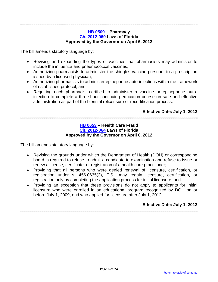#### **[HB 0509](http://flhouse.gov/Sections/Documents/loaddoc.aspx?FileName=_h0509er.docx&DocumentType=Bill&BillNumber=0509&Session=2012) – Pharmacy [Ch. 2012-060](http://laws.flrules.org/2012/60) Laws of Florida Approved by the Governor on April 6, 2012**

<span id="page-5-0"></span>The bill amends statutory language by:

- Revising and expanding the types of vaccines that pharmacists may administer to include the influenza and pneumococcal vaccines;
- Authorizing pharmacists to administer the shingles vaccine pursuant to a prescription issued by a licensed physician;
- Authorizing pharmacists to administer epinephrine auto-injections within the framework of established protocol; and
- Requiring each pharmacist certified to administer a vaccine or epinephrine autoinjection to complete a three-hour continuing education course on safe and effective administration as part of the biennial relicensure or recertification process.

## **Effective Date: July 1, 2012**

<span id="page-5-1"></span>

#### **[HB 0653](http://flhouse.gov/Sections/Documents/loaddoc.aspx?FileName=_h0653er.docx&DocumentType=Bill&BillNumber=0653&Session=2012) – Health Care Fraud [Ch. 2012-064](http://laws.flrules.org/2012/64) Laws of Florida Approved by the Governor on April 6, 2012**

The bill amends statutory language by:

- Revising the grounds under which the Department of Health (DOH) or corresponding board is required to refuse to admit a candidate to examination and refuse to issue or renew a license, certificate, or registration of a health care practitioner;
- Providing that all persons who were denied renewal of licensure, certification, or registration under s. 456.0635(3), F.S., may regain licensure, certification, or registration only by completing the application process for initial licensure; and
- Providing an exception that these provisions do not apply to applicants for initial licensure who were enrolled in an educational program recognized by DOH on or before July 1, 2009, and who applied for licensure after July 1, 2012.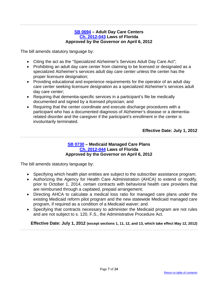#### **[SB 0694](http://flsenate.gov/Session/Bill/2012/0694/BillText/er/PDF) – Adult Day Care Centers [Ch. 2012-043](http://laws.flrules.org/2012/43) Laws of Florida Approved by the Governor on April 6, 2012**

<span id="page-6-0"></span>The bill amends statutory language by:

- Citing the act as the "Specialized Alzheimer's Services Adult Day Care Act";
- Prohibiting an adult day care center from claiming to be licensed or designated as a specialized Alzheimer's services adult day care center unless the center has the proper licensure designation;
- Providing educational and experience requirements for the operator of an adult day care center seeking licensure designation as a specialized Alzheimer's services adult day care center;
- Requiring that dementia-specific services in a participant's file be medically documented and signed by a licensed physician; and
- Requiring that the center coordinate and execute discharge procedures with a participant who has a documented diagnosis of Alzheimer's disease or a dementiarelated disorder and the caregiver if the participant's enrollment in the center is involuntarily terminated.

**Effective Date: July 1, 2012**

#### **[SB 0730](http://flsenate.gov/Session/Bill/2012/0730/BillText/er/PDF) – Medicaid Managed Care Plans [Ch. 2012-044](http://laws.flrules.org/2012/44) Laws of Florida Approved by the Governor on April 6, 2012**

<span id="page-6-1"></span>The bill amends statutory language by:

- Specifying which health plan entities are subject to the subscriber assistance program;
- Authorizing the Agency for Health Care Administration (AHCA) to extend or modify, prior to October 1, 2014, certain contracts with behavioral health care providers that are reimbursed through a capitated, prepaid arrangement;
- Directing AHCA to calculate a medical loss ratio for managed care plans under the existing Medicaid reform pilot program and the new statewide Medicaid managed care program, if required as a condition of a Medicaid waiver; and
- Specifying that contracts necessary to administer the Medicaid program are not rules and are not subject to s. 120, F.S., the Administrative Procedure Act.

**Effective Date: July 1, 2012 (except sections 1, 11, 12, and 13, which take effect May 12, 2012)**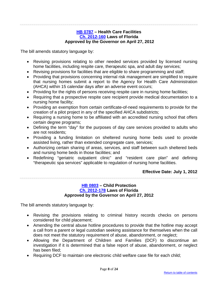#### **[HB 0787](http://flhouse.gov/Sections/Documents/loaddoc.aspx?FileName=_h0787e1.docx&DocumentType=Bill&BillNumber=0787&Session=2012) – Health Care Facilities [Ch. 2012-160](http://laws.flrules.org/2012/160) Laws of Florida Approved by the Governor on April 27, 2012**

<span id="page-7-0"></span>The bill amends statutory language by:

- Revising provisions relating to other needed services provided by licensed nursing home facilities, including respite care, therapeutic spa, and adult day services;
- Revising provisions for facilities that are eligible to share programming and staff;
- Providing that provisions concerning internal risk management are simplified to require that nursing homes submit a report to the Agency for Health Care Administration (AHCA) within 15 calendar days after an adverse event occurs;
- Providing for the rights of persons receiving respite care in nursing home facilities;
- Requiring that a prospective respite care recipient provide medical documentation to a nursing home facility;
- Providing an exemption from certain certificate-of-need requirements to provide for the creation of a pilot project in any of the specified AHCA subdistricts;
- Requiring a nursing home to be affiliated with an accredited nursing school that offers certain degree programs;
- Defining the term "day" for the purposes of day care services provided to adults who are not residents;
- Providing a funding limitation on sheltered nursing home beds used to provide assisted living, rather than extended congregate care, services;
- Authorizing certain sharing of areas, services, and staff between such sheltered beds and nursing home beds in those facilities; and
- Redefining "geriatric outpatient clinic" and "resident care plan" and defining "therapeutic spa services" applicable to regulation of nursing home facilities.

# **Effective Date: July 1, 2012**

#### **[HB 0803](http://flhouse.gov/Sections/Documents/loaddoc.aspx?FileName=_h0803er.docx&DocumentType=Bill&BillNumber=0803&Session=2012) – Child Protection [Ch. 2012-178](http://laws.flrules.org/2012/178) Laws of Florida Approved by the Governor on April 27, 2012**

<span id="page-7-1"></span>The bill amends statutory language by:

- Revising the provisions relating to criminal history records checks on persons considered for child placement;
- Amending the central abuse hotline procedures to provide that the hotline may accept a call from a parent or legal custodian seeking assistance for themselves when the call does not meet the statutory requirement of abuse, abandonment, or neglect;
- Allowing the Department of Children and Families (DCF) to discontinue an investigation if it is determined that a false report of abuse, abandonment, or neglect has been filed;
- Requiring DCF to maintain one electronic child welfare case file for each child;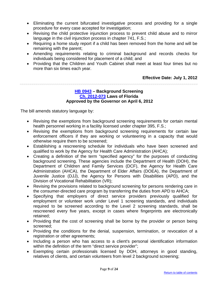- Eliminating the current bifurcated investigative process and providing for a single procedure for every case accepted for investigation;
- Revising the child protective injunction process to prevent child abuse and to mirror language in the civil injunction process in chapter 741, F.S.;
- Requiring a home study report if a child has been removed from the home and will be remaining with the parent;
- Amending requirements relating to criminal background and records checks for individuals being considered for placement of a child; and
- Providing that the Children and Youth Cabinet shall meet at least four times but no more than six times each year.

# **Effective Date: July 1, 2012**

#### **[HB 0943](http://flhouse.gov/Sections/Documents/loaddoc.aspx?FileName=_h0943er.docx&DocumentType=Bill&BillNumber=0943&Session=2012) – Background Screening [Ch. 2012-073](http://laws.flrules.org/2012/73) Laws of Florida Approved by the Governor on April 6, 2012**

<span id="page-8-0"></span>The bill amends statutory language by:

- Revising the exemptions from background screening requirements for certain mental health personnel working in a facility licensed under chapter 395, F.S.;
- Revising the exemptions from background screening requirements for certain law enforcement officers if they are working or volunteering in a capacity that would otherwise require them to be screened;
- Establishing a rescreening schedule for individuals who have been screened and qualified to work by the Agency for Health Care Administration (AHCA);
- Creating a definition of the term "specified agency" for the purposes of conducting background screening. These agencies include the Department of Health (DOH), the Department of Children and Family Services (DCF), the Agency for Health Care Administration (AHCA), the Department of Elder Affairs (DOEA), the Department of Juvenile Justice (DJJ), the Agency for Persons with Disabilities (APD), and the Division of Vocational Rehabilitation (VR);
- Revising the provisions related to background screening for persons rendering care in the consumer-directed care program by transferring the duties from APD to AHCA;
- Specifying that employers of direct service providers previously qualified for employment or volunteer work under Level 1 screening standards, and individuals required to be screened according to the Level 2 screening standards, shall be rescreened every five years, except in cases where fingerprints are electronically retained;
- Providing that the cost of screening shall be borne by the provider or person being screened;
- Providing the conditions for the denial, suspension, termination, or revocation of a registration or other agreements;
- Including a person who has access to a client's personal identification information within the definition of the term "direct service provider";
- Exempting certain professionals licensed by DOH, attorneys in good standing, relatives of clients, and certain volunteers from level 2 background screening;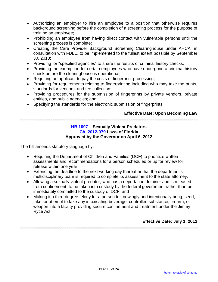- Authorizing an employer to hire an employee to a position that otherwise requires background screening before the completion of a screening process for the purpose of training an employee;
- Prohibiting an employee from having direct contact with vulnerable persons until the screening process is complete;
- Creating the Care Provider Background Screening Clearinghouse under AHCA, in consultation with FDLE, to be implemented to the fullest extent possible by September 30, 2013;
- Providing for "specified agencies" to share the results of criminal history checks;
- Providing the exemption for certain employees who have undergone a criminal history check before the clearinghouse is operational;
- Requiring an applicant to pay the costs of fingerprint processing;
- Providing for requirements relating to fingerprinting including who may take the prints, standards for vendors, and fee collection;
- Providing procedures for the submission of fingerprints by private vendors, private entities, and public agencies; and
- Specifying the standards for the electronic submission of fingerprints.

# **Effective Date: Upon Becoming Law**

<span id="page-9-0"></span>

#### **[HB 1097](http://flhouse.gov/Sections/Documents/loaddoc.aspx?FileName=_h1097er.docx&DocumentType=Bill&BillNumber=1097&Session=2012) – Sexually Violent Predators [Ch. 2012-079](http://laws.flrules.org/2012/79) Laws of Florida Approved by the Governor on April 6, 2012**

The bill amends statutory language by:

- Requiring the Department of Children and Families (DCF) to prioritize written assessments and recommendations for a person scheduled or up for review for release within one year;
- Extending the deadline to the next working day thereafter that the department's multidisciplinary team is required to complete its assessment to the state attorney;
- Allowing a sexually violent predator, who has a deportation detainer and is released from confinement, to be taken into custody by the federal government rather than be immediately committed to the custody of DCF; and
- Making it a third-degree felony for a person to knowingly and intentionally bring, send, take, or attempt to take any intoxicating beverage, controlled substance, firearm, or weapon into a facility providing secure confinement and treatment under the Jimmy Ryce Act.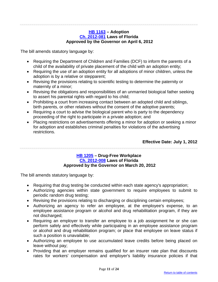#### **[HB 1163](http://flhouse.gov/Sections/Documents/loaddoc.aspx?FileName=_h1163er.docx&DocumentType=Bill&BillNumber=1163&Session=2012) – Adoption [Ch. 2012-081](http://laws.flrules.org/2012/81) Laws of Florida Approved by the Governor on April 6, 2012**

<span id="page-10-0"></span>The bill amends statutory language by:

- Requiring the Department of Children and Families (DCF) to inform the parents of a child of the availability of private placement of the child with an adoption entity;
- Requiring the use of an adoption entity for all adoptions of minor children, unless the adoption is by a relative or stepparent;
- Revising the provisions relating to scientific testing to determine the paternity or maternity of a minor;
- Revising the obligations and responsibilities of an unmarried biological father seeking to assert his parental rights with regard to his child;
- Prohibiting a court from increasing contact between an adopted child and siblings, birth parents, or other relatives without the consent of the adoptive parents;
- Requiring a court to advise the biological parent who is party to the dependency proceeding of the right to participate in a private adoption; and
- Placing restrictions on advertisements offering a minor for adoption or seeking a minor for adoption and establishes criminal penalties for violations of the advertising restrictions.

**Effective Date: July 1, 2012**

#### **[HB 1205](http://flhouse.gov/Sections/Documents/loaddoc.aspx?FileName=_h1205er.docx&DocumentType=Bill&BillNumber=1205&Session=2012) – Drug-Free Workplace [Ch. 2012-008](http://laws.flrules.org/2012/8) Laws of Florida Approved by the Governor on March 20, 2012**

<span id="page-10-1"></span>The bill amends statutory language by:

- Requiring that drug testing be conducted within each state agency's appropriation;
- Authorizing agencies within state government to require employees to submit to periodic random drug testing;
- Revising the provisions relating to discharging or disciplining certain employees;
- Authorizing an agency to refer an employee, at the employee's expense, to an employee assistance program or alcohol and drug rehabilitation program, if they are not discharged;
- Requiring an employer to transfer an employee to a job assignment he or she can perform safely and effectively while participating in an employee assistance program or alcohol and drug rehabilitation program; or place that employee on leave status if such a position is unavailable;
- Authorizing an employee to use accumulated leave credits before being placed on leave without pay;
- Providing that an employer remains qualified for an insurer rate plan that discounts rates for workers' compensation and employer's liability insurance policies if that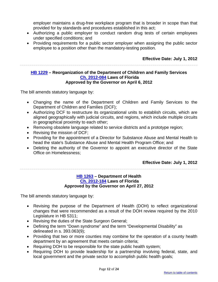employer maintains a drug-free workplace program that is broader in scope than that provided for by standards and procedures established in this act;

- Authorizing a public employer to conduct random drug tests of certain employees under specified conditions; and
- Providing requirements for a public sector employer when assigning the public sector employee to a position other than the mandatory-testing position.

## **Effective Date: July 1, 2012**

# <span id="page-11-0"></span>**[HB 1229](http://myfloridahouse.gov/Sections/Documents/loaddoc.aspx?FileName=_h1229er.docx&DocumentType=Bill&BillNumber=1229&Session=2012) – Reorganization of the Department of Children and Family Services [Ch. 2012-084](http://laws.flrules.org/2012/84) Laws of Florida Approved by the Governor on April 6, 2012**

The bill amends statutory language by:

- Changing the name of the Department of Children and Family Services to the Department of Children and Families (DCF);
- Authorizing DCF to restructure its organizational units to establish circuits, which are aligned geographically with judicial circuits, and regions, which include multiple circuits in geographical proximity to each other;
- Removing obsolete language related to service districts and a prototype region;
- Revising the mission of DCF;
- Providing for the appointment of a Director for Substance Abuse and Mental Health to head the state's Substance Abuse and Mental Health Program Office; and
- Deleting the authority of the Governor to appoint an executive director of the State Office on Homelessness;

#### **Effective Date: July 1, 2012**

## **[HB 1263](http://flhouse.gov/Sections/Documents/loaddoc.aspx?FileName=_h1263e3.docx&DocumentType=Bill&BillNumber=1263&Session=2012) – Department of Health [Ch. 2012-184](http://laws.flrules.org/2012/184) Laws of Florida Approved by the Governor on April 27, 2012**

<span id="page-11-1"></span>The bill amends statutory language by:

- Revising the purpose of the Department of Health (DOH) to reflect organizational changes that were recommended as a result of the DOH review required by the 2010 Legislature in HB 5311;
- Revising the duties of the State Surgeon General;
- Defining the term "Down syndrome" and the term "Developmental Disability" as delineated in s. 393.063(9);
- Providing that two or more counties may combine for the operation of a county health department by an agreement that meets certain criteria;
- Requiring DOH to be responsible for the state public health system;
- Requiring DOH to provide leadership for a partnership involving federal, state, and local government and the private sector to accomplish public health goals;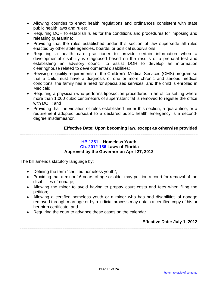- Allowing counties to enact health regulations and ordinances consistent with state public health laws and rules;
- Requiring DOH to establish rules for the conditions and procedures for imposing and releasing quarantine;
- Providing that the rules established under this section of law supersede all rules enacted by other state agencies, boards, or political subdivisions;
- Requiring a health care practitioner to provide certain information when a developmental disability is diagnosed based on the results of a prenatal test and establishing an advisory council to assist DOH to develop an information clearinghouse related to developmental disabilities;
- Revising eligibility requirements of the Children's Medical Services (CMS) program so that a child must have a diagnosis of one or more chronic and serious medical conditions, the family has a need for specialized services, and the child is enrolled in Medicaid;
- Requiring a physician who performs liposuction procedures in an office setting where more than 1,000 cubic centimeters of supernatant fat is removed to register the office with DOH; and
- Providing that the violation of rules established under this section, a quarantine, or a requirement adopted pursuant to a declared public health emergency is a seconddegree misdemeanor.

# **Effective Date: Upon becoming law, except as otherwise provided**

#### **[HB 1351](http://flhouse.gov/Sections/Documents/loaddoc.aspx?FileName=_h1351er.docx&DocumentType=Bill&BillNumber=1351&Session=2012) – Homeless Youth [Ch. 2012-186](http://laws.flrules.org/2012/186) Laws of Florida Approved by the Governor on April 27, 2012**

<span id="page-12-0"></span>The bill amends statutory language by:

- Defining the term "certified homeless youth";
- Providing that a minor 16 years of age or older may petition a court for removal of the disabilities of nonage;
- Allowing the minor to avoid having to prepay court costs and fees when filing the petition;
- Allowing a certified homeless youth or a minor who has had disabilities of nonage removed through marriage or by a judicial process may obtain a certified copy of his or her birth certificate; and
- Requiring the court to advance these cases on the calendar.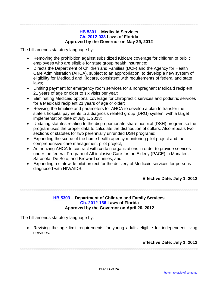#### **[HB 5301](http://flsenate.gov/Session/Bill/2011/2100/BillText/er/PDFhttp:/flsenate.gov/Session/Bill/2011/2100/BillText/er/PDF) – Medicaid Services [Ch. 2012-033](http://laws.flrules.org/2012/33) Laws of Florida Approved by the Governor on May 29, 2012**

<span id="page-13-0"></span>The bill amends statutory language by:

- Removing the prohibition against subsidized Kidcare coverage for children of public employees who are eligible for state group health insurance;
- Directs the Department of Children and Families (DCF) and the Agency for Health Care Administration (AHCA), subject to an appropriation, to develop a new system of eligibility for Medicaid and Kidcare, consistent with requirements of federal and state laws;
- Limiting payment for emergency room services for a nonpregnant Medicaid recipient 21 years of age or older to six visits per year;
- Eliminating Medicaid optional coverage for chiropractic services and podiatric services for a Medicaid recipient 21 years of age or older;
- Revising the timeline and parameters for AHCA to develop a plan to transfer the state's hospital payments to a diagnosis related group (DRG) system, with a target implementation date of July 1, 2013;
- Updating statutes relating to the disproportionate share hospital (DSH) program so the program uses the proper data to calculate the distribution of dollars. Also repeals two sections of statutes for two perennially unfunded DSH programs;
- Expanding the scope of the home health agency monitoring pilot project and the comprehensive care management pilot project;
- Authorizing AHCA to contract with certain organizations in order to provide services under the federal Program of All-inclusive Care for the Elderly (PACE) in Manatee, Sarasota, De Soto, and Broward counties; and
- Expanding a statewide pilot project for the delivery of Medicaid services for persons diagnosed with HIV/AIDS.

**Effective Date: July 1, 2012**

#### **[HB 5303](http://flhouse.gov/Sections/Documents/loaddoc.aspx?FileName=_h5303e1.docx&DocumentType=Bill&BillNumber=5303&Session=2012) – Department of Children and Family Services [Ch. 2012-136](http://laws.flrules.org/2012/136) Laws of Florida Approved by the Governor on April 20, 2012**

<span id="page-13-1"></span>The bill amends statutory language by:

• Revising the age limit requirements for young adults eligible for independent living services.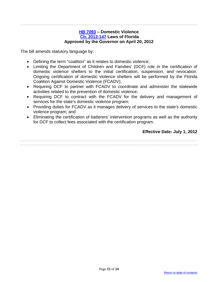#### **[HB 7093](http://flhouse.gov/Sections/Documents/loaddoc.aspx?FileName=_h7093er.docx&DocumentType=Bill&BillNumber=7093&Session=2012) – Domestic Violence [Ch. 2012-147](http://laws.flrules.org/2012/147) Laws of Florida Approved by the Governor on April 20, 2012**

<span id="page-14-0"></span>The bill amends statutory language by:

- Defining the term "coalition" as it relates to domestic violence;
- Limiting the Department of Children and Families' (DCF) role in the certification of domestic violence shelters to the initial certification, suspension, and revocation. Ongoing certification of domestic violence shelters will be performed by the Florida Coalition Against Domestic Violence (FCADV);
- Requiring DCF to partner with FCADV to coordinate and administer the statewide activities related to the prevention of domestic violence;
- Requiring DCF to contract with the FCADV for the delivery and management of services for the state's domestic violence program;
- Providing duties for FCADV as it manages delivery of services to the state's domestic violence program; and
- Eliminating the certification of batterers' intervention programs as well as the authority for DCF to collect fees associated with the certification program.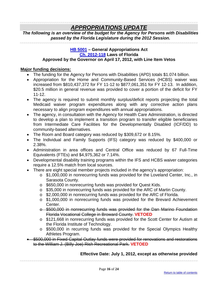# *APPROPRIATIONS UPDATE*

<span id="page-15-0"></span>*The following is an overview of the budget for the Agency for Persons with Disabilities passed by the Florida Legislature during the 2012 Session.*

#### **[HB 5001](http://flhouse.gov/Sections/Documents/loaddoc.aspx?FileName=HB_5001_E2.pdf&DocumentType=Bill&BillNumber=5001&Session=2012) – General Appropriations Act [Ch. 2012-118](http://laws.flrules.org/2012/118) Laws of Florida Approved by the Governor on April 17, 2012, with Line Item Vetos**

## **Major funding decisions:**

- The funding for the Agency for Persons with Disabilities (APD) totals \$1.074 billion.
- Appropriation for the Home and Community-Based Services (HCBS) waiver was increased from \$810,437,372 for FY 11-12 to \$877,061,351 for FY 12-13. In addition, \$20.5 million in general revenue was provided to cover a portion of the deficit for FY 11-12.
- The agency is required to submit monthly surplus/deficit reports projecting the total Medicaid waiver program expenditures along with any corrective action plans necessary to align program expenditures with annual appropriations.
- The agency, in consultation with the Agency for Health Care Administration, is directed to develop a plan to implement a transition program to transfer eligible beneficiaries from Intermediate Care Facilities for the Developmentally Disabled (ICF/DD) to community-based alternatives.
- The Room and Board category was reduced by \$309,672 or 8.15%.
- The Individual and Family Supports (IFS) category was reduced by \$400,000 or 2.38%.
- Administration in area offices and Central Office was reduced by 67 Full-Time Equivalents (FTEs) and \$4,975,362 or 7.14%.
- Developmental disability training programs within the IFS and HCBS waiver categories require a 12.5% match from local sources.
- There are eight special member projects included in the agency's appropriation:
	- $\circ$  \$1,000,000 in nonrecurring funds was provided for the Loveland Center, Inc., in Sarasota County.
	- o \$650,000 in nonrecurring funds was provided for Quest Kids.
	- $\circ$  \$35,000 in nonrecurring funds was provided for the ARC of Martin County.
	- $\circ$  \$2,000,000 in nonrecurring funds was provided for the ARC of Florida.
	- o \$1,000,000 in nonrecurring funds was provided for the Brevard Achievement Center.
	- o \$500,000 in nonrecurring funds was provided for the Dan Marino Foundation Florida Vocational College in Broward County. **VETOED**
	- o \$121,668 in nonrecurring funds was provided for the Scott Center for Autism at the Florida Institute of Technology.
	- o \$500,000 in recurring funds was provided for the Special Olympics Healthy Athletes Program.
- \$500,000 in Fixed Capital Outlay funds were provided for renovations and restorations to the William J. (Billy Joe) Rish Recreational Park. **VETOED**

# **Effective Date: July 1, 2012, except as otherwise provided**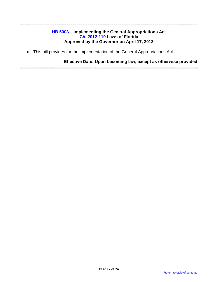## **[HB 5003](http://flhouse.gov/Sections/Documents/loaddoc.aspx?FileName=_h5003er.docx&DocumentType=Bill&BillNumber=5003&Session=2012) – Implementing the General Appropriations Act [Ch. 2012-119](http://laws.flrules.org/2012/119) Laws of Florida Approved by the Governor on April 17, 2012**

<span id="page-16-0"></span>• This bill provides for the implementation of the General Appropriations Act.

## **Effective Date: Upon becoming law, except as otherwise provided**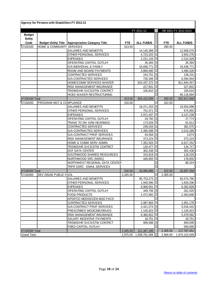|                            | Agency for Persons with Disabilities FY 2012-13 |                                                         |                    |                          |                    |                      |
|----------------------------|-------------------------------------------------|---------------------------------------------------------|--------------------|--------------------------|--------------------|----------------------|
|                            |                                                 |                                                         |                    | FY 2011-12               |                    | HB 5001 FY 2012-2013 |
| <b>Budget</b><br>Entity    |                                                 |                                                         |                    |                          |                    |                      |
| Code                       |                                                 | <b>Budget Entity Title Appropriation Category Title</b> | <b>FTE</b>         | <b>ALL FUNDS</b>         | <b>FTE</b>         | <b>ALL FUNDS</b>     |
| 67100100                   | HOME & COMMUNITY SERVICES                       |                                                         | 313.50             |                          | 280.50             |                      |
|                            |                                                 | SALARIES AND BENEFITS                                   |                    | 14, 145, 389             |                    | 12,569,575           |
|                            |                                                 | OTHER PERSONAL SERVICES                                 |                    | 4,723,252                |                    | 3,942,276            |
|                            |                                                 | <b>EXPENSES</b>                                         |                    | 2,221,143                |                    | 2,214,329            |
|                            |                                                 | OPERATING CAPITAL OUTLAY                                |                    | 35,394                   |                    | 35,394               |
|                            |                                                 | G/A-INDIVIDUAL & FAMILY                                 |                    | 16,836,771               |                    | 16,436,771           |
|                            |                                                 | ROOM AND BOARD PAYMENTS                                 |                    | 3,800,000                |                    | 3,490,328            |
|                            |                                                 | CONTRACTED SERVICES                                     |                    | 154,701                  |                    | 139,231              |
|                            |                                                 | <b>G/A-CONTRACTED SERVICES</b>                          |                    | 735,346                  |                    | 6,394,944            |
|                            |                                                 | HOME/COMM SERVICES WAIVER                               |                    | 810,437,372              |                    | 811,944,457          |
|                            |                                                 | RISK MANAGEMENT INSURANCE                               |                    | 227,831                  |                    | 227,831              |
|                            |                                                 | TR/DMS/HR SVCS/STW CONTRCT                              |                    | 105,810                  |                    | 105,810              |
|                            |                                                 | <b>HCBS WAIVER RESTRUCTURING</b>                        |                    |                          |                    | 65,116,894           |
| 67100100 Total             |                                                 |                                                         | 313.50             | 853,423,009              | 280.50             | 922,617,840          |
| 67100200                   | PROGRAM MGT & COMPLIANCE                        |                                                         | 316.00             |                          | 322.00             |                      |
|                            |                                                 | SALARIES AND BENEFITS                                   |                    | 18,471,253               |                    | 19,554,098           |
|                            |                                                 | OTHER PERSONAL SERVICES                                 |                    | 751,071                  |                    | 674,855              |
|                            |                                                 | <b>EXPENSES</b>                                         |                    | 2,971,437                |                    | 3,147,238            |
|                            |                                                 | OPERATING CAPITAL OUTLAY                                |                    | 29,792                   |                    | 27,774               |
|                            |                                                 | TRANS TO DIV ADM HEARINGS                               |                    | 173,028                  |                    | 81,812               |
|                            |                                                 | CONTRACTED SERVICES                                     |                    | 239,033                  |                    | 381,575              |
|                            |                                                 | G/A-CONTRACTED SERVICES                                 |                    | 2,356,598                |                    | 2,013,289            |
|                            |                                                 | G/A-CONTRACT PROF SERVICES                              |                    | 93,558                   |                    | 3,874                |
|                            |                                                 | RISK MANAGEMENT INSURANCE                               |                    | 373,224                  |                    | 373,224              |
|                            |                                                 | HOME & COMM SERV ADMIN                                  |                    | 7,352,503                |                    | 6,617,252            |
|                            |                                                 | TR/DMS/HR SVCS/STW CONTRCT                              |                    | 120,477                  |                    | 134,717              |
|                            |                                                 | DCF DATA CENTER                                         |                    | 302,438                  |                    | 302,438              |
|                            |                                                 | SOUTHWOOD SHARED RESOURCES                              |                    | 315,819                  |                    | 118,233              |
|                            |                                                 | NORTHWOOD SRC (NSRC)<br>NORTHWEST REGIONAL DATA CENTER  |                    | 440,655                  |                    | 178,655              |
|                            |                                                 |                                                         |                    |                          |                    | 88,324               |
|                            |                                                 | TRFR SSRC - EMAIL SERVICES                              |                    |                          |                    |                      |
| 67100200 Total<br>67100300 | DEV DISAB PUBLIC FACIL                          |                                                         | 316.00<br>2,345.50 | 33,990,886               | 322.00<br>2,305.50 | 33,697,358           |
|                            |                                                 | SALARIES AND BENEFITS                                   |                    | 95,753,273               |                    | 92,074,766           |
|                            |                                                 | OTHER PERSONAL SERVICES                                 |                    | 1,940,596                |                    | 1,833,206            |
|                            |                                                 | <b>EXPENSES</b>                                         |                    | 6,906,001                |                    | 6,282,828            |
|                            |                                                 | OPERATING CAPITAL OUTLAY                                |                    | 349,706                  |                    | 261,020              |
|                            |                                                 | FOOD PRODUCTS                                           |                    | 2,472,992                |                    | 2,363,848            |
|                            |                                                 | APD/FCO NEEDS/CEN MGD FACS                              |                    |                          |                    |                      |
|                            |                                                 | CONTRACTED SERVICES                                     |                    | 2,087,963                |                    | 1,951,178            |
|                            |                                                 | G/A-CONTRACT PROF SERVICES                              |                    | 3,421,574                |                    | 5,016,410            |
|                            |                                                 | PRESCRIBED MEDICINE/DRUGS                               |                    | 1,145,923                |                    | 1,145,923            |
|                            |                                                 | RISK MANAGEMENT INSURANCE                               |                    | 6,360,822                |                    | 5,379,582            |
|                            |                                                 | SALARY INCENTIVE PAYMENTS                               |                    | 18,751                   |                    | 18,751               |
|                            |                                                 | TR/DMS/HR SVCS/STW CONTRCT                              |                    | 909,588                  |                    | 959,939              |
|                            |                                                 | FIXED CAPITAL OUTLAY                                    |                    |                          |                    | 500,000              |
| 67100300 Total             |                                                 |                                                         | 2,345.50           | 121,367,189              | 2,305.50           | 117,787,451          |
| <b>Grand Total</b>         |                                                 |                                                         |                    | 2,975.00   1,008,781,084 | 2,908.00           | 1,074,102,649        |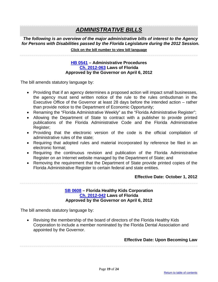# *ADMINISTRATIVE BILLS*

*The following is an overview of the major administrative bills of interest to the Agency for Persons with Disabilities passed by the Florida Legislature during the 2012 Session.* **Click on the bill number to view bill language** 

### **[HB 0541](http://flhouse.gov/Sections/Documents/loaddoc.aspx?FileName=_h0541er.docx&DocumentType=Bill&BillNumber=0541&Session=2012) – Administrative Procedures [Ch. 2012-063](http://laws.flrules.org/2012/63) Laws of Florida Approved by the Governor on April 6, 2012**

<span id="page-18-0"></span>The bill amends statutory language by:

- Providing that if an agency determines a proposed action will impact small businesses, the agency must send written notice of the rule to the rules ombudsman in the Executive Office of the Governor at least 28 days before the intended action – rather than provide notice to the Department of Economic Opportunity;
- Renaming the "Florida Administrative Weekly" as the "Florida Administrative Register";
- Allowing the Department of State to contract with a publisher to provide printed publications of the Florida Administrative Code and the Florida Administrative Register;
- Providing that the electronic version of the code is the official compilation of administrative rules of the state;
- Requiring that adopted rules and material incorporated by reference be filed in an electronic format;
- Requiring the continuous revision and publication of the Florida Administrative Register on an Internet website managed by the Department of State; and
- Removing the requirement that the Department of State provide printed copies of the Florida Administrative Register to certain federal and state entities.

#### **Effective Date: October 1, 2012**

#### **[SB 0608](http://flsenate.gov/Session/Bill/2012/0608/BillText/er/PDF) – Florida Healthy Kids Corporation [Ch. 2012-042](http://laws.flrules.org/2012/42) Laws of Florida Approved by the Governor on April 6, 2012**

<span id="page-18-1"></span>The bill amends statutory language by:

• Revising the membership of the board of directors of the Florida Healthy Kids Corporation to include a member nominated by the Florida Dental Association and appointed by the Governor.

#### **Effective Date: Upon Becoming Law**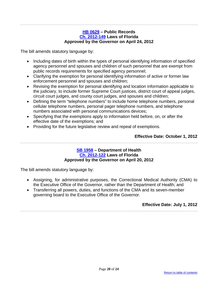#### **[HB 0629](http://flhouse.gov/Sections/Documents/loaddoc.aspx?FileName=_h0629er.docx&DocumentType=Bill&BillNumber=0629&Session=2012) – Public Records [Ch. 2012-149](http://laws.flrules.org/2012/149) Laws of Florida Approved by the Governor on April 24, 2012**

<span id="page-19-0"></span>The bill amends statutory language by:

- Including dates of birth within the types of personal identifying information of specified agency personnel and spouses and children of such personnel that are exempt from public records requirements for specified agency personnel;
- Clarifying the exemption for personal identifying information of active or former law enforcement personnel and spouses and children;
- Revising the exemption for personal identifying and location information applicable to the judiciary, to include former Supreme Court justices, district court of appeal judges, circuit court judges, and county court judges, and spouses and children;
- Defining the term "telephone numbers" to include home telephone numbers, personal cellular telephone numbers, personal pager telephone numbers, and telephone numbers associated with personal communications devices;
- Specifying that the exemptions apply to information held before, on, or after the effective date of the exemptions; and
- Providing for the future legislative review and repeal of exemptions.

# **Effective Date: October 1, 2012**

#### **[SB 1958](http://flsenate.gov/Session/Bill/2012/1958/BillText/er/PDF) – Department of Health [Ch. 2012-122](http://laws.flrules.org/2012/122) Laws of Florida Approved by the Governor on April 20, 2012**

<span id="page-19-1"></span>The bill amends statutory language by:

- Assigning, for administrative purposes, the Correctional Medical Authority (CMA) to the Executive Office of the Governor, rather than the Department of Health; and
- Transferring all powers, duties, and functions of the CMA and its seven-member governing board to the Executive Office of the Governor.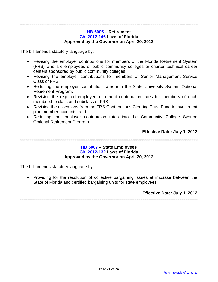#### **[HB 5005](http://flhouse.gov/Sections/Documents/loaddoc.aspx?FileName=_h5005er.docx&DocumentType=Bill&BillNumber=5005&Session=2012) – Retirement [Ch. 2012-146](http://laws.flrules.org/2012/146) Laws of Florida Approved by the Governor on April 20, 2012**

<span id="page-20-0"></span>The bill amends statutory language by:

- Revising the employer contributions for members of the Florida Retirement System (FRS) who are employees of public community colleges or charter technical career centers sponsored by public community colleges;
- Revising the employer contributions for members of Senior Management Service Class of FRS;
- Reducing the employer contribution rates into the State University System Optional Retirement Program;
- Revising the required employer retirement contribution rates for members of each membership class and subclass of FRS;
- Revising the allocations from the FRS Contributions Clearing Trust Fund to investment plan member accounts; and
- Reducing the employer contribution rates into the Community College System Optional Retirement Program.

**Effective Date: July 1, 2012**

#### **[HB 5007](http://flhouse.gov/Sections/Documents/loaddoc.aspx?FileName=_h5007er.docx&DocumentType=Bill&BillNumber=5007&Session=2012) – State Employees [Ch. 2012-132](http://laws.flrules.org/2012/132) Laws of Florida Approved by the Governor on April 20, 2012**

<span id="page-20-1"></span>The bill amends statutory language by:

• Providing for the resolution of collective bargaining issues at impasse between the State of Florida and certified bargaining units for state employees.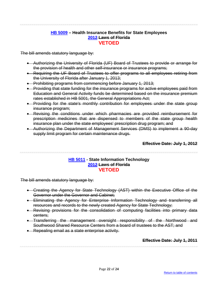## **[HB 5009](http://flhouse.gov/Sections/Documents/loaddoc.aspx?FileName=_h5009er.docx&DocumentType=Bill&BillNumber=5009&Session=2012) – Health Insurance Benefits for State Employees [2012](http://laws.flrules.org/) Laws of Florida [VETOED](http://www.flgov.com/wp-content/uploads/2012/04/4.20.12-HB-5009-Veto-Letter.pdf)**

<span id="page-21-0"></span>The bill amends statutory language by:

- Authorizing the University of Florida (UF) Board of Trustees to provide or arrange for the provision of health and other self-insurance or insurance programs;
- Requiring the UF Board of Trustees to offer programs to all employees retiring from the University of Florida after January 1, 2013;
- Prohibiting programs from commencing before January 1, 2013;
- Providing that state funding for the insurance programs for active employees paid from Education and General Activity funds be determined based on the insurance premium rates established in HB 5001, the General Appropriations Act;
- Providing for the state's monthly contribution for employees under the state group insurance program;
- Revising the conditions under which pharmacies are provided reimbursement for prescription medicines that are dispensed to members of the state group health insurance plan under the state employees' prescription drug program; and
- Authorizing the Department of Management Services (DMS) to implement a 90-day supply limit program for certain maintenance drugs.

**Effective Date: July 1, 2012**

## **[HB 5011](http://flhouse.gov/Sections/Documents/loaddoc.aspx?FileName=_h5011er.docx&DocumentType=Bill&BillNumber=5011&Session=2012) - State Information Technology [2012](http://laws.flrules.org/) Laws of Florida [VETOED](http://www.flgov.com/wp-content/uploads/2012/04/4.20.12-HB-5011-Veto-Letter.pdf)**

<span id="page-21-1"></span>The bill amends statutory language by:

- Creating the Agency for State Technology (AST) within the Executive Office of the Governor under the Governor and Cabinet;
- Eliminating the Agency for Enterprise Information Technology and transferring all resources and records to the newly created Agency for State Technology;
- Revising provisions for the consolidation of computing facilities into primary data centers;
- Transferring the management oversight responsibility of the Northwood and Southwood Shared Resource Centers from a board of trustees to the AST; and
- Repealing email as a state enterprise activity.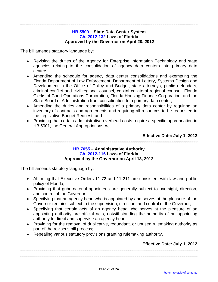#### **[HB 5509](http://flhouse.gov/Sections/Documents/loaddoc.aspx?FileName=_h5509e1.docx&DocumentType=Bill&BillNumber=5509&Session=2012) – State Data Center System [Ch. 2012-132](http://laws.flrules.org/2012/142) Laws of Florida Approved by the Governor on April 20, 2012**

<span id="page-22-0"></span>The bill amends statutory language by:

- Revising the duties of the Agency for Enterprise Information Technology and state agencies relating to the consolidation of agency data centers into primary data centers;
- Amending the schedule for agency data center consolidations and exempting the Florida Department of Law Enforcement, Department of Lottery, Systems Design and Development in the Office of Policy and Budget, state attorneys, public defenders, criminal conflict and civil regional counsel, capital collateral regional counsel, Florida Clerks of Court Operations Corporation, Florida Housing Finance Corporation, and the State Board of Administration from consolidation to a primary data center;
- Amending the duties and responsibilities of a primary data center by requiring an inventory of contracts and agreements and requiring all resources to be requested in the Legislative Budget Request; and
- Providing that certain administrative overhead costs require a specific appropriation in HB 5001, the General Appropriations Act.

**Effective Date: July 1, 2012**

#### **[HB 7055](http://flhouse.gov/Sections/Documents/loaddoc.aspx?FileName=_h7055er.docx&DocumentType=Bill&BillNumber=7055&Session=2012) – Administrative Authority [Ch. 2012-116](http://laws.flrules.org/2012/116) Laws of Florida Approved by the Governor on April 13, 2012**

<span id="page-22-1"></span>The bill amends statutory language by:

- Affirming that Executive Orders 11-72 and 11-211 are consistent with law and public policy of Florida;
- Providing that gubernatorial appointees are generally subject to oversight, direction, and control of the Governor;
- Specifying that an agency head who is appointed by and serves at the pleasure of the Governor remains subject to the supervision, direction, and control of the Governor;
- Specifying that certain acts of an agency head who serves at the pleasure of an appointing authority are official acts, notwithstanding the authority of an appointing authority to direct and supervise an agency head;
- Providing for the removal of duplicative, redundant, or unused rulemaking authority as part of the reviser's bill process;
- Repealing various statutory provisions granting rulemaking authority.